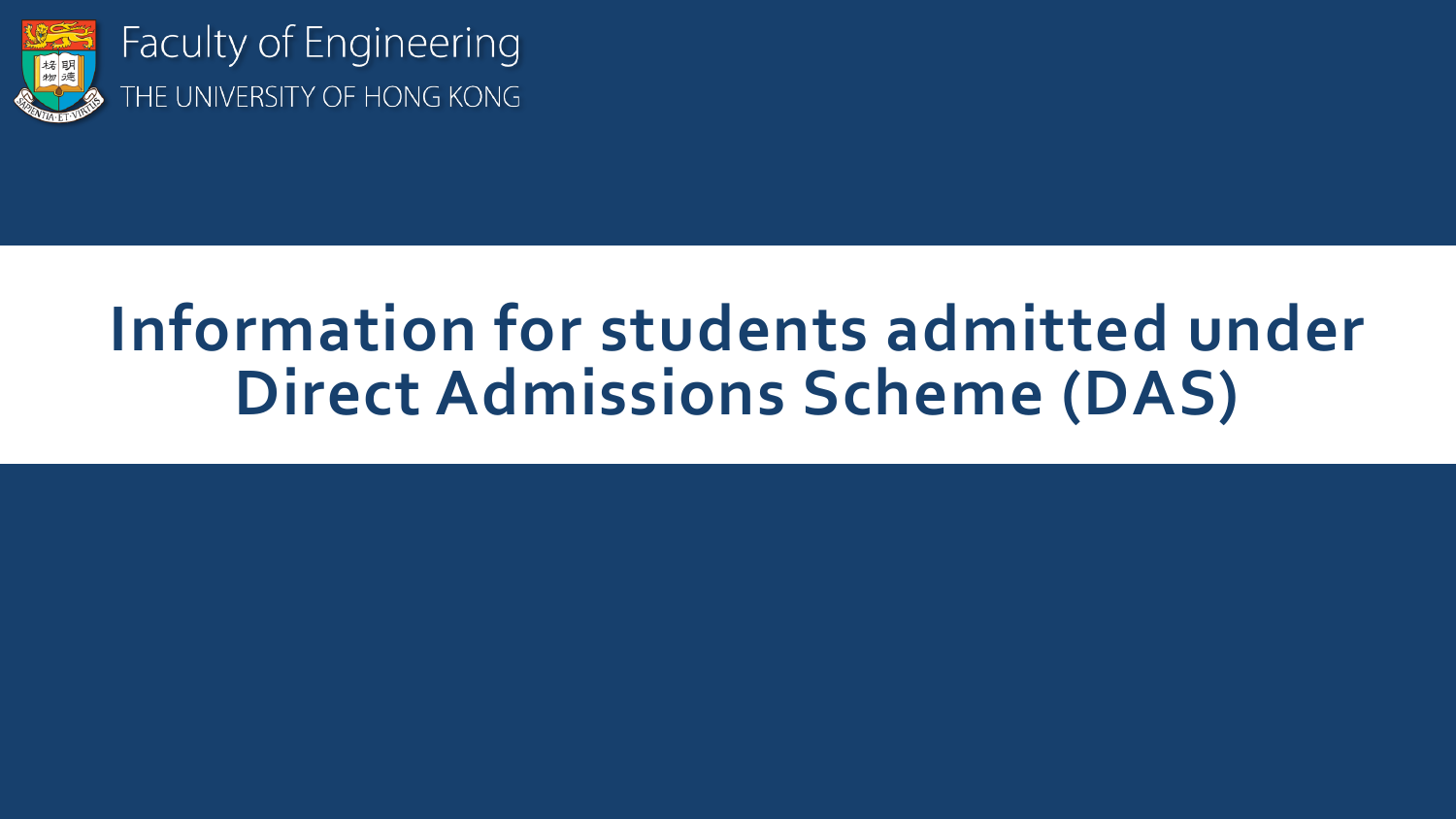

**Faculty of Engineering** THE UNIVERSITY OF HONG KONG

# **Information for students admitted under Direct Admissions Scheme (DAS)**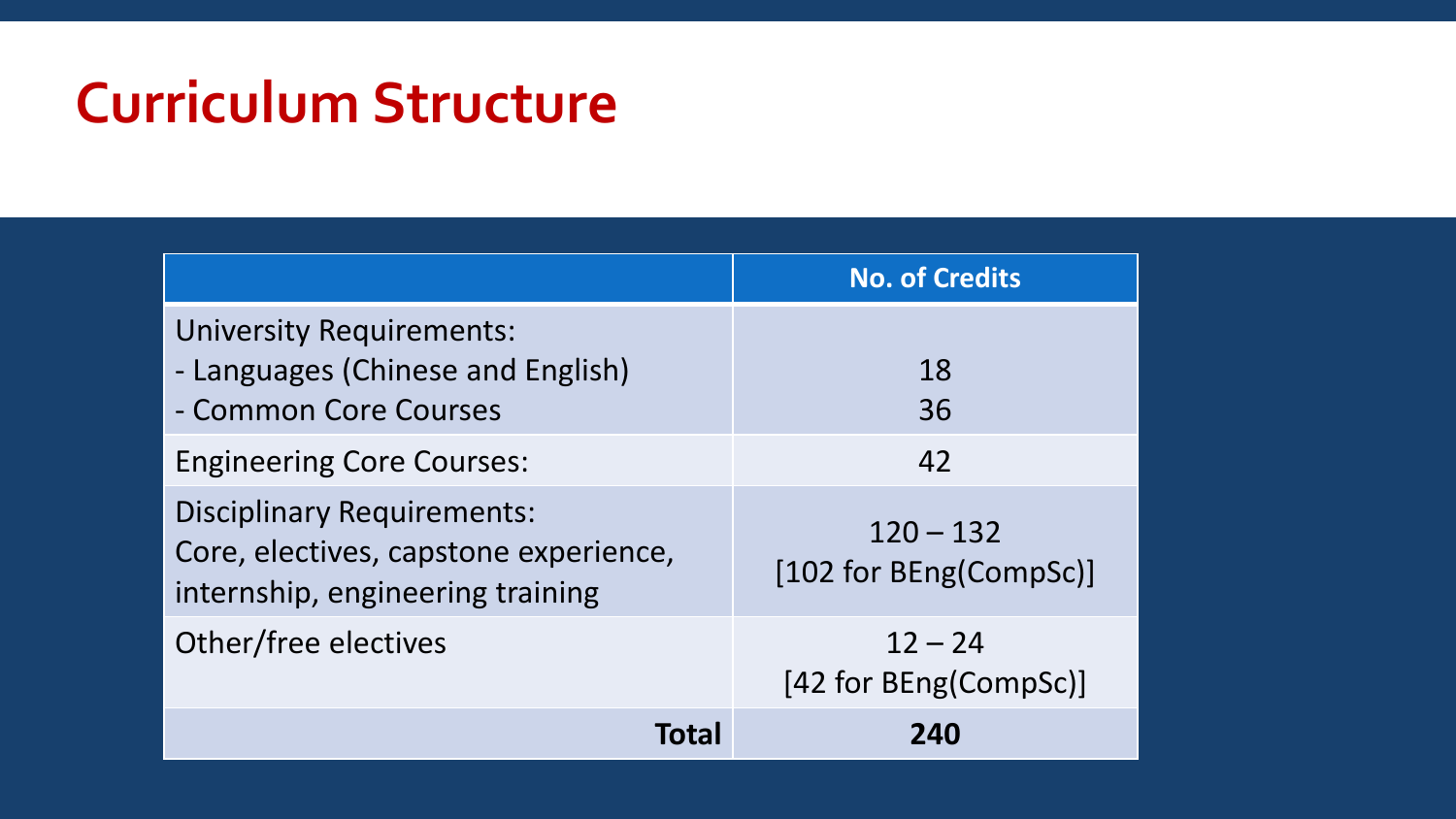### **Curriculum Structure**

|                                                                                                                | <b>No. of Credits</b>                 |
|----------------------------------------------------------------------------------------------------------------|---------------------------------------|
| <b>University Requirements:</b><br>- Languages (Chinese and English)<br>- Common Core Courses                  | 18<br>36                              |
| <b>Engineering Core Courses:</b>                                                                               | 42                                    |
| <b>Disciplinary Requirements:</b><br>Core, electives, capstone experience,<br>internship, engineering training | $120 - 132$<br>[102 for BEng(CompSc)] |
| Other/free electives                                                                                           | $12 - 24$<br>[42 for BEng(CompSc)]    |
| Total                                                                                                          | 240                                   |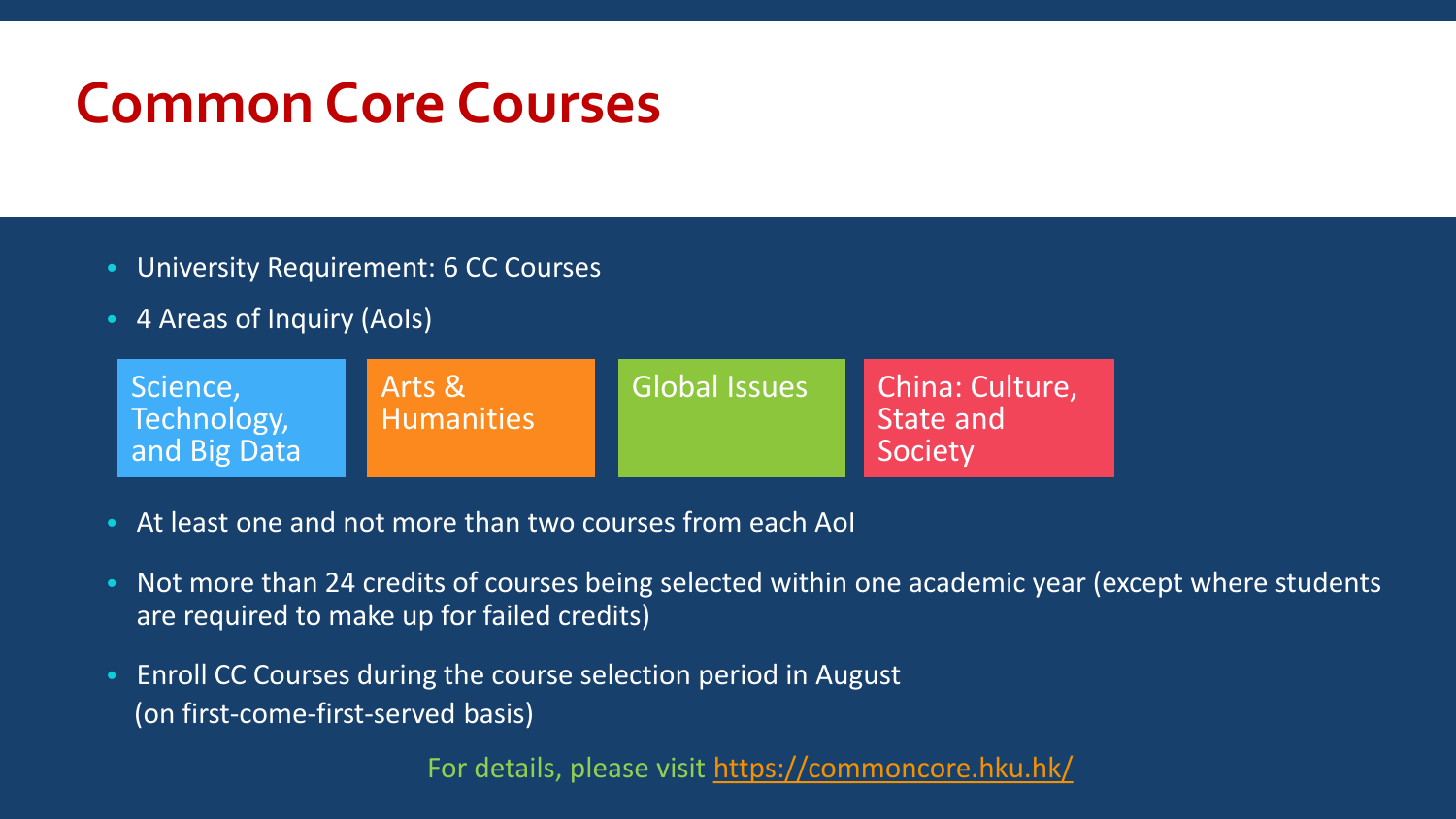#### **Common Core Courses**

- University Requirement: 6 CC Courses
- 4 Areas of Inquiry (AoIs)

| Science,<br>Arts &<br>Technology,<br><b>Humanities</b><br>and Big Data | Global Issues | China: Culture,<br>State and<br>Society |
|------------------------------------------------------------------------|---------------|-----------------------------------------|
|------------------------------------------------------------------------|---------------|-----------------------------------------|

- At least one and not more than two courses from each AoI
- Not more than 24 credits of courses being selected within one academic year (except where students are required to make up for failed credits)
- Enroll CC Courses during the course selection period in August (on first-come-first-served basis)

For details, please visit <https://commoncore.hku.hk/>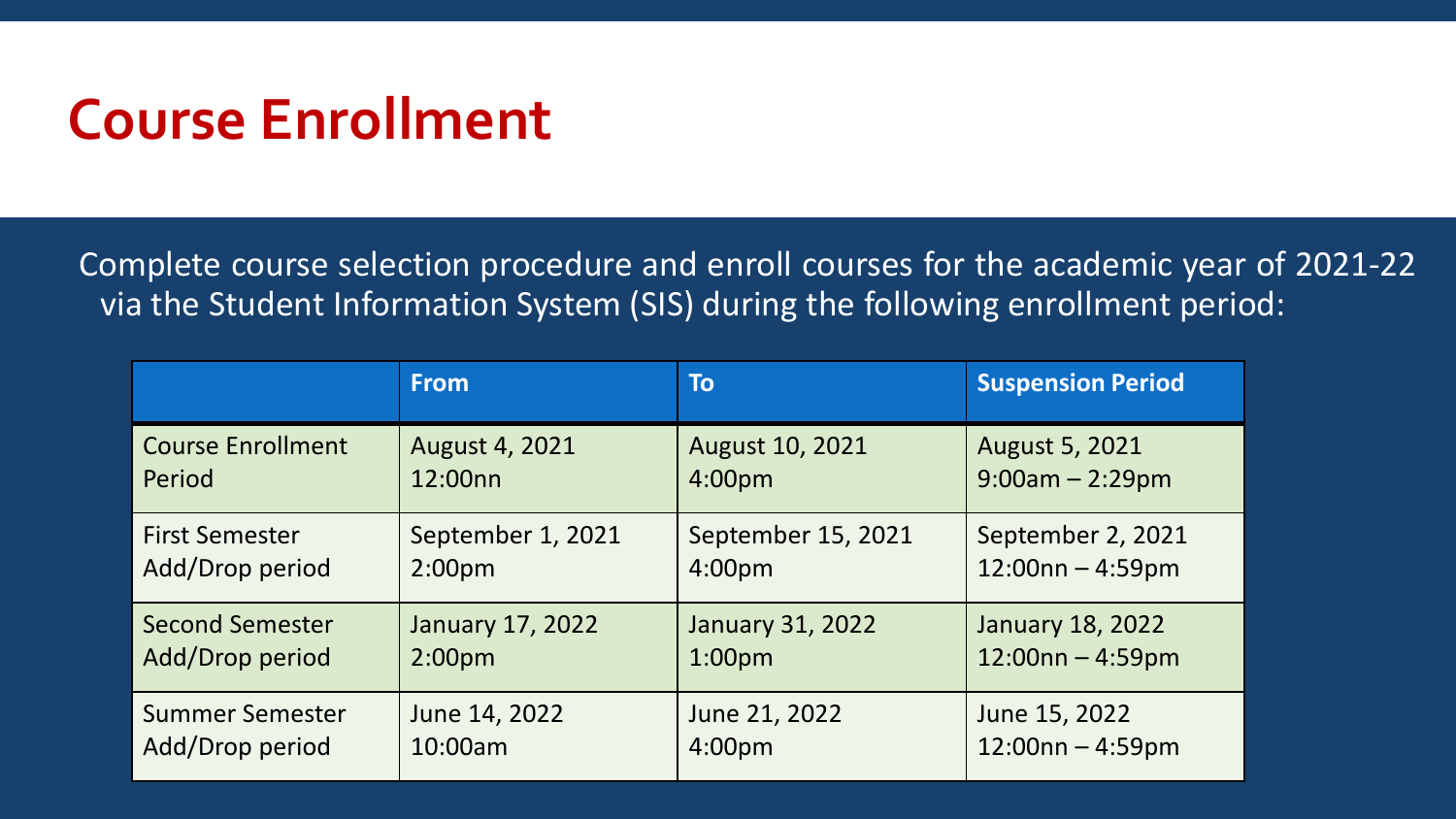#### **Course Enrollment**

Complete course selection procedure and enroll courses for the academic year of 2021-22 via the Student Information System (SIS) during the following enrollment period:

|                          | <b>From</b>       | To                      | <b>Suspension Period</b> |
|--------------------------|-------------------|-------------------------|--------------------------|
| <b>Course Enrollment</b> | August 4, 2021    | August 10, 2021         | <b>August 5, 2021</b>    |
| Period                   | 12:00nn           | 4:00 <sub>pm</sub>      | $9:00am - 2:29pm$        |
| <b>First Semester</b>    | September 1, 2021 | September 15, 2021      | September 2, 2021        |
| Add/Drop period          | $2:00p$ m         | 4:00 <sub>pm</sub>      | $12:00nn - 4:59pm$       |
| <b>Second Semester</b>   | January 17, 2022  | <b>January 31, 2022</b> | <b>January 18, 2022</b>  |
| Add/Drop period          | $2:00p$ m         | 1:00 <sub>pm</sub>      | $12:00nn - 4:59pm$       |
| <b>Summer Semester</b>   | June 14, 2022     | June 21, 2022           | June 15, 2022            |
| Add/Drop period          | 10:00am           | 4:00 <sub>pm</sub>      | $12:00nn - 4:59pm$       |